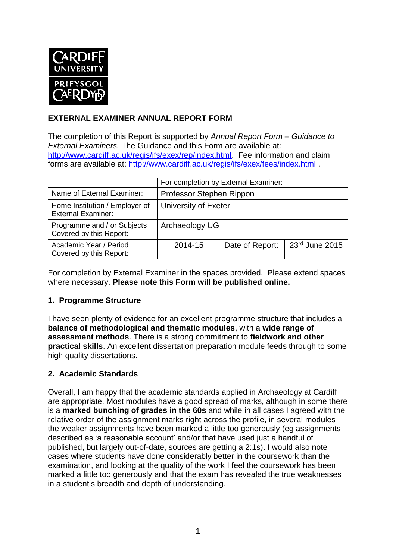

### **EXTERNAL EXAMINER ANNUAL REPORT FORM**

The completion of this Report is supported by *Annual Report Form – Guidance to External Examiners.* The Guidance and this Form are available at: [http://www.cardiff.ac.uk/regis/ifs/exex/rep/index.html.](http://www.cardiff.ac.uk/regis/ifs/exex/rep/index.html) Fee information and claim forms are available at:<http://www.cardiff.ac.uk/regis/ifs/exex/fees/index.html> .

|                                                             | For completion by External Examiner: |                 |                |  |  |
|-------------------------------------------------------------|--------------------------------------|-----------------|----------------|--|--|
| Name of External Examiner:                                  | Professor Stephen Rippon             |                 |                |  |  |
| Home Institution / Employer of<br><b>External Examiner:</b> | University of Exeter                 |                 |                |  |  |
| Programme and / or Subjects<br>Covered by this Report:      | Archaeology UG                       |                 |                |  |  |
| Academic Year / Period<br>Covered by this Report:           | 2014-15                              | Date of Report: | 23rd June 2015 |  |  |

For completion by External Examiner in the spaces provided. Please extend spaces where necessary. **Please note this Form will be published online.**

#### **1. Programme Structure**

I have seen plenty of evidence for an excellent programme structure that includes a **balance of methodological and thematic modules**, with a **wide range of assessment methods**. There is a strong commitment to **fieldwork and other practical skills**. An excellent dissertation preparation module feeds through to some high quality dissertations.

#### **2. Academic Standards**

Overall, I am happy that the academic standards applied in Archaeology at Cardiff are appropriate. Most modules have a good spread of marks, although in some there is a **marked bunching of grades in the 60s** and while in all cases I agreed with the relative order of the assignment marks right across the profile, in several modules the weaker assignments have been marked a little too generously (eg assignments described as 'a reasonable account' and/or that have used just a handful of published, but largely out-of-date, sources are getting a 2:1s). I would also note cases where students have done considerably better in the coursework than the examination, and looking at the quality of the work I feel the coursework has been marked a little too generously and that the exam has revealed the true weaknesses in a student's breadth and depth of understanding.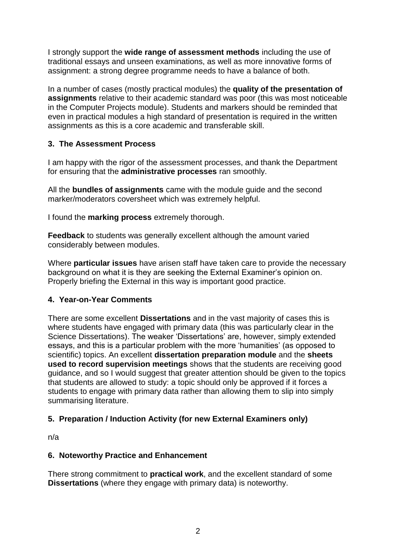I strongly support the **wide range of assessment methods** including the use of traditional essays and unseen examinations, as well as more innovative forms of assignment: a strong degree programme needs to have a balance of both.

In a number of cases (mostly practical modules) the **quality of the presentation of assignments** relative to their academic standard was poor (this was most noticeable in the Computer Projects module). Students and markers should be reminded that even in practical modules a high standard of presentation is required in the written assignments as this is a core academic and transferable skill.

## **3. The Assessment Process**

I am happy with the rigor of the assessment processes, and thank the Department for ensuring that the **administrative processes** ran smoothly.

All the **bundles of assignments** came with the module guide and the second marker/moderators coversheet which was extremely helpful.

I found the **marking process** extremely thorough.

**Feedback** to students was generally excellent although the amount varied considerably between modules.

Where **particular issues** have arisen staff have taken care to provide the necessary background on what it is they are seeking the External Examiner's opinion on. Properly briefing the External in this way is important good practice.

#### **4. Year-on-Year Comments**

There are some excellent **Dissertations** and in the vast majority of cases this is where students have engaged with primary data (this was particularly clear in the Science Dissertations). The weaker 'Dissertations' are, however, simply extended essays, and this is a particular problem with the more 'humanities' (as opposed to scientific) topics. An excellent **dissertation preparation module** and the **sheets used to record supervision meetings** shows that the students are receiving good guidance, and so I would suggest that greater attention should be given to the topics that students are allowed to study: a topic should only be approved if it forces a students to engage with primary data rather than allowing them to slip into simply summarising literature.

#### **5. Preparation / Induction Activity (for new External Examiners only)**

n/a

#### **6. Noteworthy Practice and Enhancement**

There strong commitment to **practical work**, and the excellent standard of some **Dissertations** (where they engage with primary data) is noteworthy.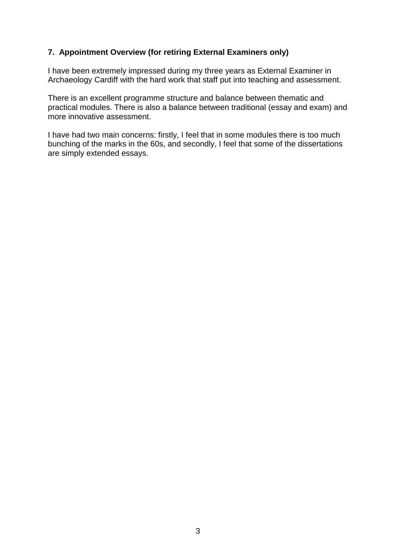#### **7. Appointment Overview (for retiring External Examiners only)**

I have been extremely impressed during my three years as External Examiner in Archaeology Cardiff with the hard work that staff put into teaching and assessment.

There is an excellent programme structure and balance between thematic and practical modules. There is also a balance between traditional (essay and exam) and more innovative assessment.

I have had two main concerns: firstly, I feel that in some modules there is too much bunching of the marks in the 60s, and secondly, I feel that some of the dissertations are simply extended essays.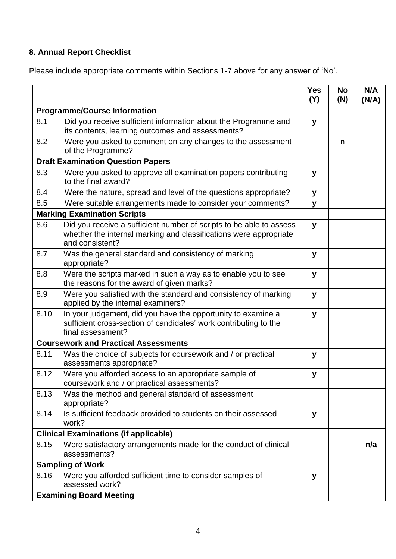# **8. Annual Report Checklist**

Please include appropriate comments within Sections 1-7 above for any answer of 'No'.

|                                             |                                                                                                                                                             | <b>Yes</b><br>(Y) | <b>No</b><br>(N) | N/A<br>(N/A) |
|---------------------------------------------|-------------------------------------------------------------------------------------------------------------------------------------------------------------|-------------------|------------------|--------------|
| <b>Programme/Course Information</b>         |                                                                                                                                                             |                   |                  |              |
| 8.1                                         | Did you receive sufficient information about the Programme and<br>its contents, learning outcomes and assessments?                                          | y                 |                  |              |
| 8.2                                         | Were you asked to comment on any changes to the assessment<br>of the Programme?                                                                             |                   | n                |              |
| <b>Draft Examination Question Papers</b>    |                                                                                                                                                             |                   |                  |              |
| 8.3                                         | Were you asked to approve all examination papers contributing<br>to the final award?                                                                        | y                 |                  |              |
| 8.4                                         | Were the nature, spread and level of the questions appropriate?                                                                                             | y                 |                  |              |
| 8.5                                         | Were suitable arrangements made to consider your comments?                                                                                                  | y                 |                  |              |
|                                             | <b>Marking Examination Scripts</b>                                                                                                                          |                   |                  |              |
| 8.6                                         | Did you receive a sufficient number of scripts to be able to assess<br>whether the internal marking and classifications were appropriate<br>and consistent? | y                 |                  |              |
| 8.7                                         | Was the general standard and consistency of marking<br>appropriate?                                                                                         | y                 |                  |              |
| 8.8                                         | Were the scripts marked in such a way as to enable you to see<br>the reasons for the award of given marks?                                                  | y                 |                  |              |
| 8.9                                         | Were you satisfied with the standard and consistency of marking<br>applied by the internal examiners?                                                       | y                 |                  |              |
| 8.10                                        | In your judgement, did you have the opportunity to examine a<br>sufficient cross-section of candidates' work contributing to the<br>final assessment?       | y                 |                  |              |
| <b>Coursework and Practical Assessments</b> |                                                                                                                                                             |                   |                  |              |
| 8.11                                        | Was the choice of subjects for coursework and / or practical<br>assessments appropriate?                                                                    | y                 |                  |              |
| 8.12                                        | Were you afforded access to an appropriate sample of<br>coursework and / or practical assessments?                                                          | y                 |                  |              |
| 8.13                                        | Was the method and general standard of assessment<br>appropriate?                                                                                           |                   |                  |              |
| 8.14                                        | Is sufficient feedback provided to students on their assessed<br>work?                                                                                      | y                 |                  |              |
|                                             | <b>Clinical Examinations (if applicable)</b>                                                                                                                |                   |                  |              |
| 8.15                                        | Were satisfactory arrangements made for the conduct of clinical<br>assessments?                                                                             |                   |                  | n/a          |
| <b>Sampling of Work</b>                     |                                                                                                                                                             |                   |                  |              |
| 8.16                                        | Were you afforded sufficient time to consider samples of<br>assessed work?                                                                                  | y                 |                  |              |
| <b>Examining Board Meeting</b>              |                                                                                                                                                             |                   |                  |              |